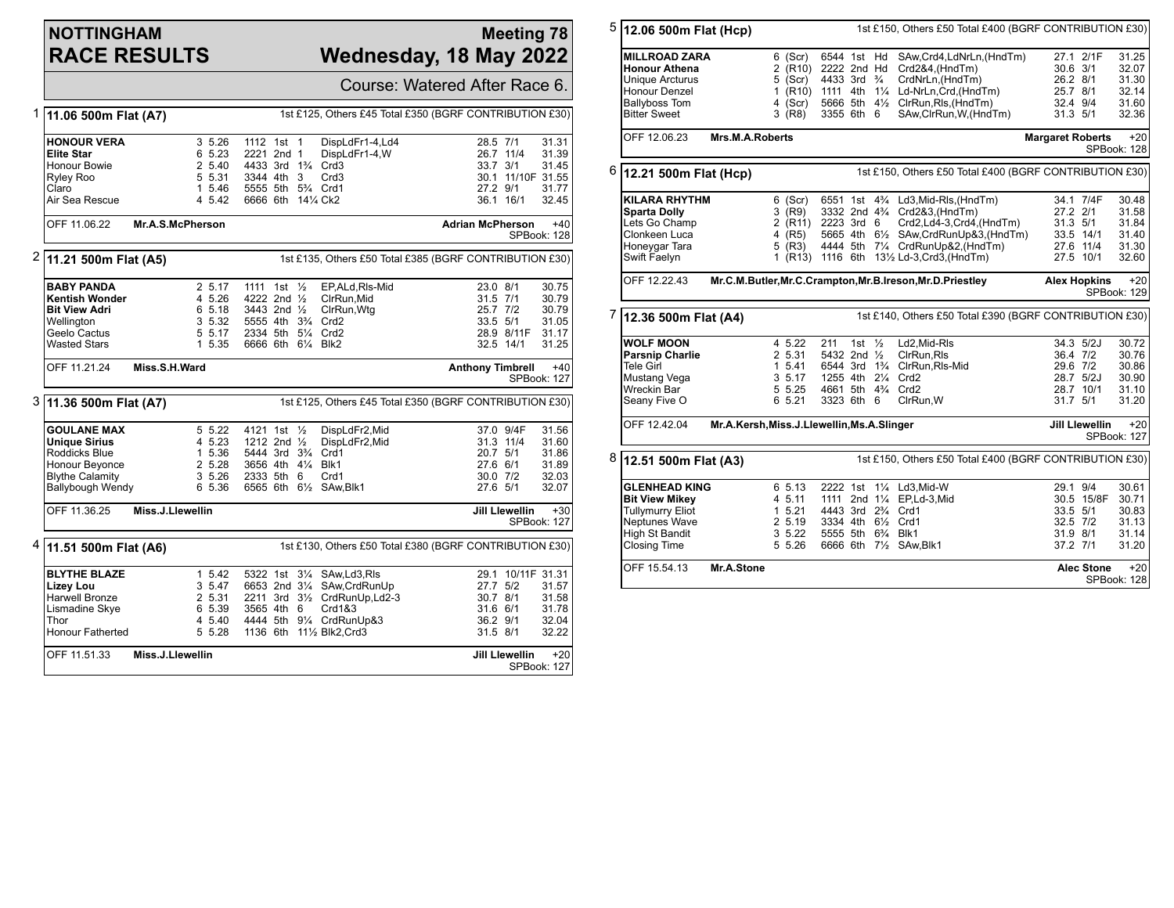# **NOTTINGHAM RACE RESULTS**

### **Meeting 78 Wednesday, 18 May 2022**

|   |                                                                                                                                    | Course: Watered After Race 6.                                                 |                                                                                                                                                                 |                                                      |                                                                        |                                                                                                  |  |  |
|---|------------------------------------------------------------------------------------------------------------------------------------|-------------------------------------------------------------------------------|-----------------------------------------------------------------------------------------------------------------------------------------------------------------|------------------------------------------------------|------------------------------------------------------------------------|--------------------------------------------------------------------------------------------------|--|--|
| 1 | 11.06 500m Flat (A7)                                                                                                               |                                                                               |                                                                                                                                                                 |                                                      | 1st £125, Others £45 Total £350 (BGRF CONTRIBUTION £30)                |                                                                                                  |  |  |
|   | <b>HONOUR VERA</b><br><b>Elite Star</b><br><b>Honour Bowie</b><br>Ryley Roo<br>Claro<br>Air Sea Rescue                             | $3\,5.26$<br>6 5.23<br>2 5.40<br>5 5.31<br>1 5.46<br>4 5.42                   | 1112 1st 1<br>2221 2nd 1<br>4433 3rd 1% Crd3<br>3344 4th 3<br>5555 5th 534 Crd1<br>6666 6th 141/4 Ck2                                                           | DispLdFr1-4,Ld4<br>DispLdFr1-4,W<br>Crd <sub>3</sub> | 28.5 7/1<br>26.7 11/4<br>33.7 3/1<br>27.2 9/1<br>36.1 16/1             | 31.31<br>31.39<br>31.45<br>30.1 11/10F 31.55<br>31.77<br>32.45                                   |  |  |
|   | OFF 11.06.22                                                                                                                       | Mr.A.S.McPherson                                                              |                                                                                                                                                                 |                                                      | <b>Adrian McPherson</b>                                                | $+40$<br>SPBook: 128                                                                             |  |  |
| 2 | 1st £135, Others £50 Total £385 (BGRF CONTRIBUTION £30)<br>11.21 500m Flat (A5)                                                    |                                                                               |                                                                                                                                                                 |                                                      |                                                                        |                                                                                                  |  |  |
|   | <b>BABY PANDA</b><br>Kentish Wonder<br><b>Bit View Adri</b><br>Wellington<br>Geelo Cactus<br>Wasted Stars                          | 2 5.17<br>4 5.26<br>6 5.18<br>3 5.32<br>5 5.17<br>1 5.35                      | 1111 1st 1/ <sub>2</sub><br>4222 2nd 1/ <sub>2</sub><br>3443 2nd 1/2<br>5555 4th 3 <sup>3</sup> / <sub>4</sub> Crd2<br>2334 5th 51/4 Crd2<br>6666 6th 61/4 Blk2 | EP.ALd.RIs-Mid<br>CIrRun.Mid<br>CirRun, Wtg          | 23.0 8/1<br>31.5 7/1<br>25.7 7/2<br>33.5 5/1<br>$32.5$ 14/1            | 30.75<br>30.79<br>30.79<br>31.05<br>28.9 8/11F<br>31.17<br>31.25                                 |  |  |
|   | OFF 11.21.24                                                                                                                       | Miss.S.H.Ward                                                                 |                                                                                                                                                                 |                                                      | <b>Anthony Timbrell</b>                                                | $+40$<br>SPBook: 127                                                                             |  |  |
|   | 3 11.36 500m Flat (A7)<br>1st £125, Others £45 Total £350 (BGRF CONTRIBUTION £30)                                                  |                                                                               |                                                                                                                                                                 |                                                      |                                                                        |                                                                                                  |  |  |
|   | <b>GOULANE MAX</b><br><b>Unique Sirius</b><br>Roddicks Blue<br>Honour Beyonce<br><b>Blythe Calamity</b><br><b>Ballybough Wendy</b> | 5 5.22<br>4 5.23<br>1 5.36<br>2 5.28<br>3 5.26<br>6 5.36                      | 4121 1st 1/2<br>1212 2nd $\frac{1}{2}$<br>5444 3rd 3 <sup>3</sup> / <sub>4</sub> Crd1<br>3656 4th 41/4 Blk1<br>2333 5th 6<br>6565 6th 61/2 SAw, Blk1            | DispLdFr2,Mid<br>DispLdFr2,Mid<br>Crd1               | 37.0 9/4F<br>31.3 11/4<br>20.7 5/1<br>27.6 6/1<br>30.0 7/2<br>27.6 5/1 | 31.56<br>31.60<br>31.86<br>31.89<br>32.03<br>32.07                                               |  |  |
|   | OFF 11.36.25                                                                                                                       | Miss.J.Llewellin<br><b>Jill Llewellin</b><br>$+30$<br>SPBook: 127             |                                                                                                                                                                 |                                                      |                                                                        |                                                                                                  |  |  |
| 4 | 11.51 500m Flat (A6)                                                                                                               |                                                                               |                                                                                                                                                                 |                                                      | 1st £130, Others £50 Total £380 (BGRF CONTRIBUTION £30)                |                                                                                                  |  |  |
|   | <b>BLYTHE BLAZE</b><br>Lizey Lou<br>Harwell Bronze<br>Lismadine Skye<br>Thor<br><b>Honour Fatherted</b><br>OFF 11.51.33            | 1, 5.42<br>3 5.47<br>2 5.31<br>6 5.39<br>4 5.40<br>5 5.28<br>Miss.J.Llewellin | 5322 1st 31/4 SAw, Ld 3, RIs<br>6653 2nd 31/4 SAw, Crd Run Up<br>3565 4th 6<br>4444 5th 91/4 CrdRunUp&3<br>1136 6th 111/2 Blk2, Crd3                            | 2211 3rd 31/2 CrdRunUp, Ld2-3<br>Crd1&3              | 27.7 5/2<br>30.7 8/1<br>$31.6$ 6/1<br>36.2 9/1<br>31.5 8/1             | 29.1 10/11F 31.31<br>31.57<br>31.58<br>31.78<br>32.04<br>32.22<br><b>Jill Llewellin</b><br>$+20$ |  |  |
|   |                                                                                                                                    |                                                                               |                                                                                                                                                                 |                                                      |                                                                        | SPBook: 127                                                                                      |  |  |

| 5 | 12.06 500m Flat (Hcp)                                                                                                              | 1st £150, Others £50 Total £400 (BGRF CONTRIBUTION £30)        |                                                                                                                                                  |                                                                                                                                                                                                                                                       |                                                                              |                                                    |  |  |
|---|------------------------------------------------------------------------------------------------------------------------------------|----------------------------------------------------------------|--------------------------------------------------------------------------------------------------------------------------------------------------|-------------------------------------------------------------------------------------------------------------------------------------------------------------------------------------------------------------------------------------------------------|------------------------------------------------------------------------------|----------------------------------------------------|--|--|
|   | <b>MILLROAD ZARA</b><br><b>Honour Athena</b><br>Unique Arcturus<br>Honour Denzel<br><b>Ballyboss Tom</b><br><b>Bitter Sweet</b>    | $6$ (Scr)<br>$5$ (Scr)<br>4 (Scr)<br>$3$ (R8)                  | 6544 1st Hd<br>2 (R10) 2222 2nd Hd<br>4433 3rd <sup>3</sup> / <sub>4</sub><br>3355 6th 6                                                         | SAw,Crd4,LdNrLn,(HndTm)<br>Crd2&4, (HndTm)<br>CrdNrLn, (HndTm)<br>1 (R10) 1111 4th 11/4 Ld-NrLn, Crd, (HndTm)<br>5666 5th 41/2 ClrRun, RIs, (HndTm)<br>SAw,ClrRun, W, (HndTm)                                                                         | 27.1 2/1F<br>$30.6$ $3/1$<br>26.2 8/1<br>25.7 8/1<br>32.4 9/4<br>31.3 5/1    | 31.25<br>32.07<br>31.30<br>32.14<br>31.60<br>32.36 |  |  |
|   | OFF 12.06.23<br>Mrs.M.A.Roberts                                                                                                    | $+20$<br><b>Margaret Roberts</b><br>SPBook: 128                |                                                                                                                                                  |                                                                                                                                                                                                                                                       |                                                                              |                                                    |  |  |
| 6 | 12.21 500m Flat (Hcp)                                                                                                              | 1st £150, Others £50 Total £400 (BGRF CONTRIBUTION £30)        |                                                                                                                                                  |                                                                                                                                                                                                                                                       |                                                                              |                                                    |  |  |
|   | <b>KILARA RHYTHM</b><br><b>Sparta Dolly</b><br>Lets Go Champ<br>Clonkeen Luca<br>Honeygar Tara<br>Swift Faelyn                     | $6$ (Scr)<br>$3$ (R9)<br>4 (R5)<br>5 (R3)                      | 2 (R11) 2223 3rd 6                                                                                                                               | 6551 1st 4 <sup>3</sup> / <sub>4</sub> Ld3, Mid-RIs, (HndTm)<br>3332 2nd 43/4 Crd2&3, (HndTm)<br>Crd2,Ld4-3,Crd4,(HndTm)<br>5665 4th 61/2 SAw, CrdRunUp&3, (HndTm)<br>4444 5th 71/4 CrdRunUp&2, (HndTm)<br>1 (R13) 1116 6th 131/2 Ld-3, Crd3, (HndTm) | 34.1 7/4F<br>27.2 2/1<br>$31.3$ $5/1$<br>33.5 14/1<br>27.6 11/4<br>27.5 10/1 | 30.48<br>31.58<br>31.84<br>31.40<br>31.30<br>32.60 |  |  |
|   | OFF 12.22.43                                                                                                                       |                                                                |                                                                                                                                                  | Mr.C.M.Butler, Mr.C.Crampton, Mr.B.Ireson, Mr.D.Priestley                                                                                                                                                                                             | <b>Alex Hopkins</b>                                                          | $+20$<br>SPBook: 129                               |  |  |
|   | 12.36 500m Flat (A4)                                                                                                               |                                                                |                                                                                                                                                  | 1st £140, Others £50 Total £390 (BGRF CONTRIBUTION £30)                                                                                                                                                                                               |                                                                              |                                                    |  |  |
|   | <b>WOLF MOON</b><br><b>Parsnip Charlie</b><br>Tele Girl<br>Mustang Vega<br><b>Wreckin Bar</b><br>Seany Five O                      | 4 5.22<br>2 5.31<br>1 5.41<br>3, 5, 17<br>5 5.25<br>6 5.21     | 1st $\frac{1}{2}$<br>211<br>5432 2nd 1/2<br>1255 4th 21/4<br>4661 5th 43/4 Crd2<br>3323 6th 6                                                    | Ld2, Mid-RIs<br>ClrRun, RIs<br>6544 3rd 1 <sup>3</sup> / <sub>4</sub> ClrRun, Rls-Mid<br>Crd <sub>2</sub><br>ClrRun, W                                                                                                                                | 34.3 5/2J<br>36.4 7/2<br>29.6 7/2<br>28.7 5/2J<br>28.7 10/1<br>31.7 5/1      | 30.72<br>30.76<br>30.86<br>30.90<br>31.10<br>31.20 |  |  |
|   | OFF 12.42.04                                                                                                                       |                                                                | Mr.A.Kersh, Miss.J.Llewellin, Ms.A.Slinger                                                                                                       |                                                                                                                                                                                                                                                       | Jill Llewellin                                                               | $+20$<br>SPBook: 127                               |  |  |
| 8 | 12.51 500m Flat (A3)                                                                                                               |                                                                |                                                                                                                                                  | 1st £150, Others £50 Total £400 (BGRF CONTRIBUTION £30)                                                                                                                                                                                               |                                                                              |                                                    |  |  |
|   | <b>GLENHEAD KING</b><br><b>Bit View Mikey</b><br><b>Tullymurry Eliot</b><br>Neptunes Wave<br>High St Bandit<br><b>Closing Time</b> | 6 5.13<br>4 5.11<br>1, 5.21<br>2 5.19<br>$3\;\;5.22$<br>5 5.26 | 2222 1st 11/4 Ld3, Mid-W<br>1111 2nd 11/4 EP,Ld-3,Mid<br>4443 3rd 234 Crd1<br>3334 4th 61/2 Crd1<br>5555 5th 634 Blk1<br>6666 6th 71/2 SAw, Blk1 |                                                                                                                                                                                                                                                       | 29.1 9/4<br>30.5 15/8F<br>$33.5$ $5/1$<br>32.5 7/2<br>31.9 8/1<br>37.2 7/1   | 30.61<br>30.71<br>30.83<br>31.13<br>31.14<br>31.20 |  |  |
|   | OFF 15.54.13<br>Mr.A.Stone                                                                                                         |                                                                |                                                                                                                                                  |                                                                                                                                                                                                                                                       | <b>Alec Stone</b>                                                            | $+20$<br>SPBook: 128                               |  |  |